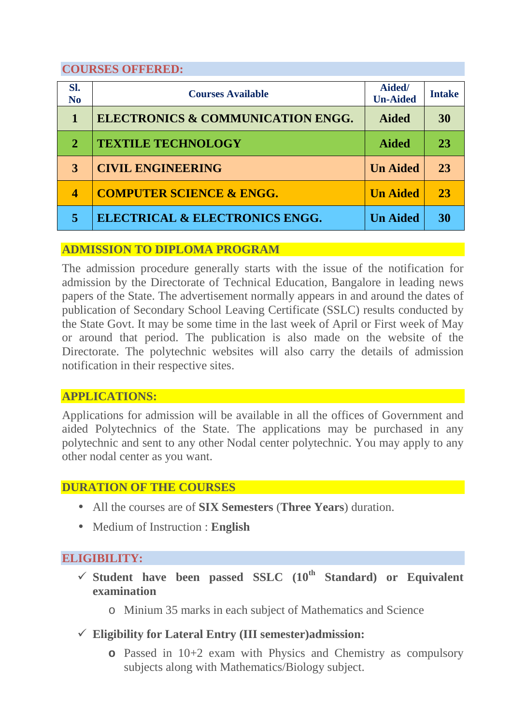## **COURSES OFFERED:**

| Sl.<br>N <sub>o</sub>    | <b>Courses Available</b>                     | Aided/<br><b>Un-Aided</b> | <b>Intake</b> |
|--------------------------|----------------------------------------------|---------------------------|---------------|
|                          | <b>ELECTRONICS &amp; COMMUNICATION ENGG.</b> | <b>Aided</b>              | 30            |
| $\mathbf{2}$             | <b>TEXTILE TECHNOLOGY</b>                    | <b>Aided</b>              | 23            |
| 3                        | <b>CIVIL ENGINEERING</b>                     | <b>Un Aided</b>           | 23            |
| $\overline{\mathcal{A}}$ | <b>COMPUTER SCIENCE &amp; ENGG.</b>          | <b>Un Aided</b>           | 23            |
| 5                        | ELECTRICAL & ELECTRONICS ENGG.               | <b>Un Aided</b>           | 30            |

#### **ADMISSION TO DIPLOMA PROGRAM**

The admission procedure generally starts with the issue of the notification for admission by the Directorate of Technical Education, Bangalore in leading news papers of the State. The advertisement normally appears in and around the dates of publication of Secondary School Leaving Certificate (SSLC) results conducted by the State Govt. It may be some time in the last week of April or First week of May or around that period. The publication is also made on the website of the Directorate. The polytechnic websites will also carry the details of admission notification in their respective sites.

# **APPLICATIONS:**

Applications for admission will be available in all the offices of Government and aided Polytechnics of the State. The applications may be purchased in any polytechnic and sent to any other Nodal center polytechnic. You may apply to any other nodal center as you want.

#### **DURATION OF THE COURSES**

- All the courses are of **SIX Semesters** (**Three Years**) duration.
- Medium of Instruction : **English**

#### **ELIGIBILITY:**

- $\checkmark$  Student have been passed SSLC  $(10^{th}$  Standard) or Equivalent **examination** 
	- o Minium 35 marks in each subject of Mathematics and Science
- **Eligibility for Lateral Entry (III semester)admission:** 
	- **o** Passed in 10+2 exam with Physics and Chemistry as compulsory subjects along with Mathematics/Biology subject.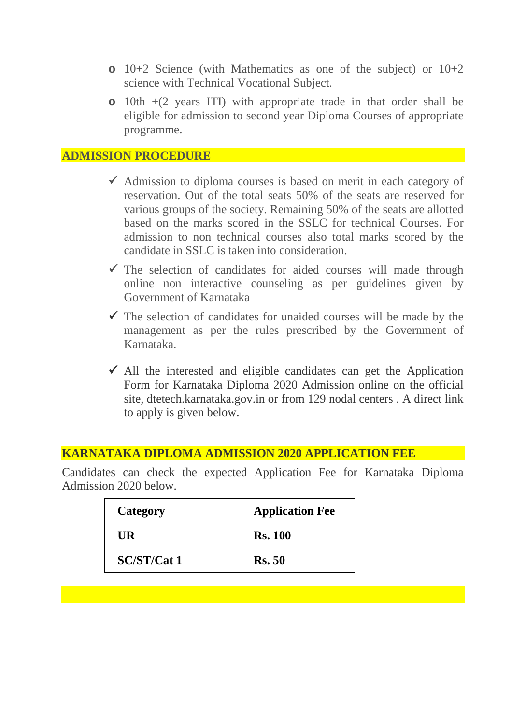- **o** 10+2 Science (with Mathematics as one of the subject) or 10+2 science with Technical Vocational Subject.
- **o** 10th +(2 years ITI) with appropriate trade in that order shall be eligible for admission to second year Diploma Courses of appropriate programme.

#### **ADMISSION PROCEDURE**

- $\checkmark$  Admission to diploma courses is based on merit in each category of reservation. Out of the total seats 50% of the seats are reserved for various groups of the society. Remaining 50% of the seats are allotted based on the marks scored in the SSLC for technical Courses. For admission to non technical courses also total marks scored by the candidate in SSLC is taken into consideration.
- $\checkmark$  The selection of candidates for aided courses will made through online non interactive counseling as per guidelines given by Government of Karnataka
- $\checkmark$  The selection of candidates for unaided courses will be made by the management as per the rules prescribed by the Government of Karnataka.
- $\checkmark$  All the interested and eligible candidates can get the Application Form for Karnataka Diploma 2020 Admission online on the official site, dtetech.karnataka.gov.in or from 129 nodal centers . A direct link to apply is given below.

#### **KARNATAKA DIPLOMA ADMISSION 2020 APPLICATION FEE**

Candidates can check the expected Application Fee for Karnataka Diploma Admission 2020 below.

| Category           | <b>Application Fee</b> |  |  |
|--------------------|------------------------|--|--|
| UR                 | <b>Rs. 100</b>         |  |  |
| <b>SC/ST/Cat 1</b> | <b>Rs.</b> 50          |  |  |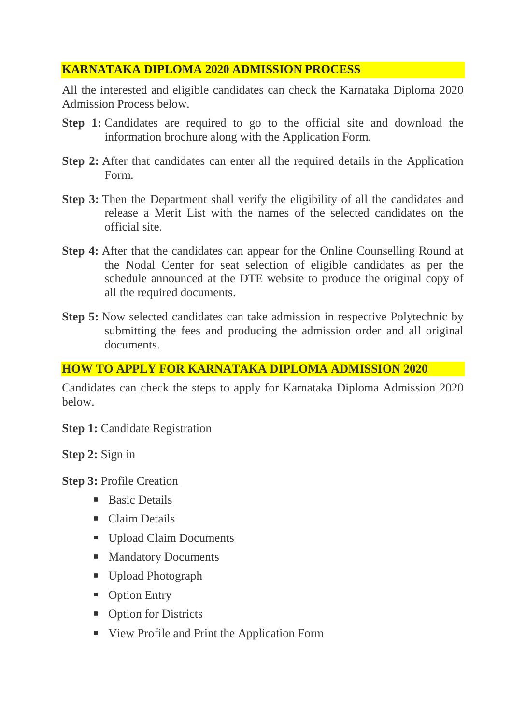# **KARNATAKA DIPLOMA 2020 ADMISSION PROCESS**

All the interested and eligible candidates can check the Karnataka Diploma 2020 Admission Process below.

- **Step 1:** Candidates are required to go to the official site and download the information brochure along with the Application Form.
- **Step 2:** After that candidates can enter all the required details in the Application Form.
- **Step 3:** Then the Department shall verify the eligibility of all the candidates and release a Merit List with the names of the selected candidates on the official site.
- **Step 4:** After that the candidates can appear for the Online Counselling Round at the Nodal Center for seat selection of eligible candidates as per the schedule announced at the DTE website to produce the original copy of all the required documents.
- **Step 5:** Now selected candidates can take admission in respective Polytechnic by submitting the fees and producing the admission order and all original documents.

## **HOW TO APPLY FOR KARNATAKA DIPLOMA ADMISSION 2020**

Candidates can check the steps to apply for Karnataka Diploma Admission 2020 below.

**Step 1:** Candidate Registration

**Step 2:** Sign in

**Step 3:** Profile Creation

- **Basic Details**
- **Claim Details**
- **Upload Claim Documents**
- **Mandatory Documents**
- Upload Photograph
- Option Entry
- Option for Districts
- View Profile and Print the Application Form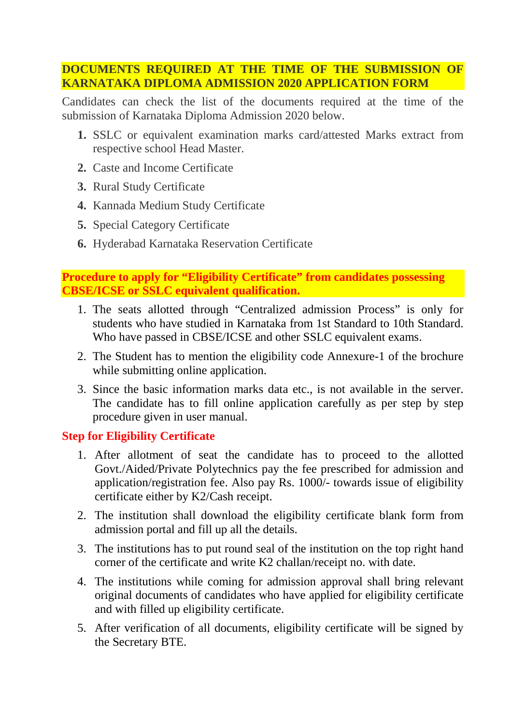## **DOCUMENTS REQUIRED AT THE TIME OF THE SUBMISSION OF KARNATAKA DIPLOMA ADMISSION 2020 APPLICATION FORM**

Candidates can check the list of the documents required at the time of the submission of Karnataka Diploma Admission 2020 below.

- **1.** SSLC or equivalent examination marks card/attested Marks extract from respective school Head Master.
- **2.** Caste and Income Certificate
- **3.** Rural Study Certificate
- **4.** Kannada Medium Study Certificate
- **5.** Special Category Certificate
- **6.** Hyderabad Karnataka Reservation Certificate

**Procedure to apply for "Eligibility Certificate" from candidates possessing CBSE/ICSE or SSLC equivalent qualification.** 

- 1. The seats allotted through "Centralized admission Process" is only for students who have studied in Karnataka from 1st Standard to 10th Standard. Who have passed in CBSE/ICSE and other SSLC equivalent exams.
- 2. The Student has to mention the eligibility code Annexure-1 of the brochure while submitting online application.
- 3. Since the basic information marks data etc., is not available in the server. The candidate has to fill online application carefully as per step by step procedure given in user manual.

# **Step for Eligibility Certificate**

- 1. After allotment of seat the candidate has to proceed to the allotted Govt./Aided/Private Polytechnics pay the fee prescribed for admission and application/registration fee. Also pay Rs. 1000/- towards issue of eligibility certificate either by K2/Cash receipt.
- 2. The institution shall download the eligibility certificate blank form from admission portal and fill up all the details.
- 3. The institutions has to put round seal of the institution on the top right hand corner of the certificate and write K2 challan/receipt no. with date.
- 4. The institutions while coming for admission approval shall bring relevant original documents of candidates who have applied for eligibility certificate and with filled up eligibility certificate.
- 5. After verification of all documents, eligibility certificate will be signed by the Secretary BTE.